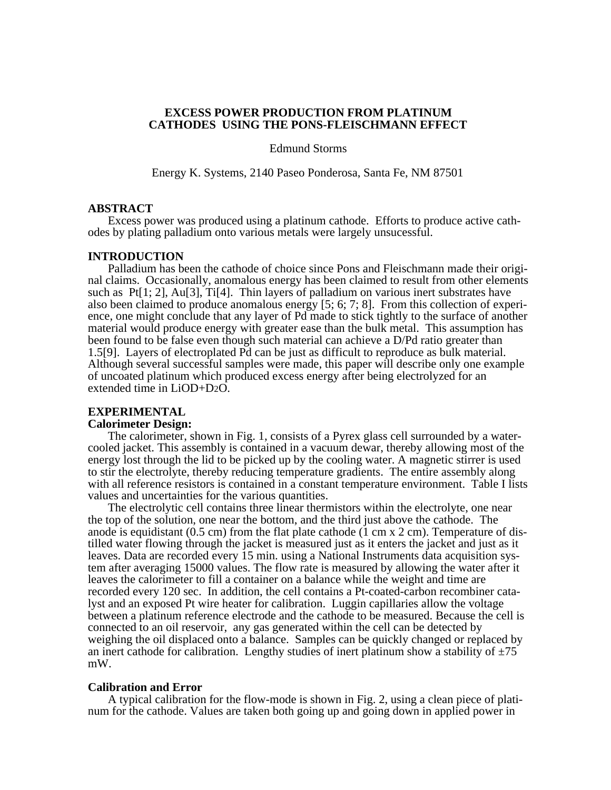# **EXCESS POWER PRODUCTION FROM PLATINUM CATHODES USING THE PONS-FLEISCHMANN EFFECT**

Edmund Storms

Energy K. Systems, 2140 Paseo Ponderosa, Santa Fe, NM 87501

#### **ABSTRACT**

Excess power was produced using a platinum cathode. Efforts to produce active cathodes by plating palladium onto various metals were largely unsucessful.

## **INTRODUCTION**

Palladium has been the cathode of choice since Pons and Fleischmann made their original claims. Occasionally, anomalous energy has been claimed to result from other elements such as  $Pt[1; 2]$ ,  $Au[3]$ ,  $Ti[4]$ . Thin layers of palladium on various inert substrates have also been claimed to produce anomalous energy [5; 6; 7; 8]. From this collection of experience, one might conclude that any layer of Pd made to stick tightly to the surface of another material would produce energy with greater ease than the bulk metal. This assumption has been found to be false even though such material can achieve a D/Pd ratio greater than 1.5[9]. Layers of electroplated Pd can be just as difficult to reproduce as bulk material. Although several successful samples were made, this paper will describe only one example of uncoated platinum which produced excess energy after being electrolyzed for an extended time in LiOD+D2O.

# **EXPERIMENTAL**

# **Calorimeter Design:**

The calorimeter, shown in Fig. 1, consists of a Pyrex glass cell surrounded by a watercooled jacket. This assembly is contained in a vacuum dewar, thereby allowing most of the energy lost through the lid to be picked up by the cooling water. A magnetic stirrer is used to stir the electrolyte, thereby reducing temperature gradients. The entire assembly along with all reference resistors is contained in a constant temperature environment. Table I lists values and uncertainties for the various quantities.

The electrolytic cell contains three linear thermistors within the electrolyte, one near the top of the solution, one near the bottom, and the third just above the cathode. The anode is equidistant  $(0.5 \text{ cm})$  from the flat plate cathode  $(1 \text{ cm } x \text{ 2 cm})$ . Temperature of distilled water flowing through the jacket is measured just as it enters the jacket and just as it leaves. Data are recorded every 15 min. using a National Instruments data acquisition system after averaging 15000 values. The flow rate is measured by allowing the water after it leaves the calorimeter to fill a container on a balance while the weight and time are recorded every 120 sec. In addition, the cell contains a Pt-coated-carbon recombiner catalyst and an exposed Pt wire heater for calibration. Luggin capillaries allow the voltage between a platinum reference electrode and the cathode to be measured. Because the cell is connected to an oil reservoir, any gas generated within the cell can be detected by weighing the oil displaced onto a balance. Samples can be quickly changed or replaced by an inert cathode for calibration. Lengthy studies of inert platinum show a stability of  $\pm 75$ mW.

## **Calibration and Error**

A typical calibration for the flow-mode is shown in Fig. 2, using a clean piece of platinum for the cathode. Values are taken both going up and going down in applied power in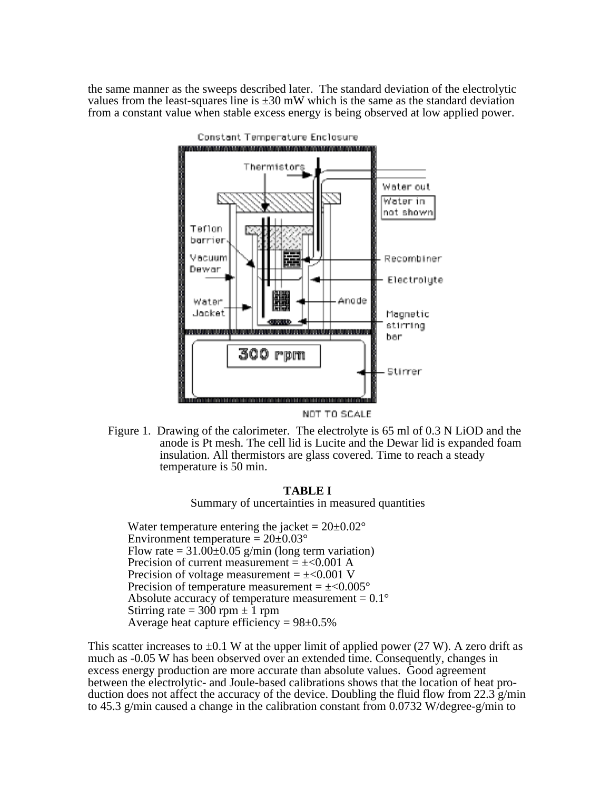the same manner as the sweeps described later. The standard deviation of the electrolytic values from the least-squares line is  $\pm 30$  mW which is the same as the standard deviation from a constant value when stable excess energy is being observed at low applied power.



NOT TO SCALE

Figure 1. Drawing of the calorimeter. The electrolyte is 65 ml of 0.3 N LiOD and the anode is Pt mesh. The cell lid is Lucite and the Dewar lid is expanded foam insulation. All thermistors are glass covered. Time to reach a steady temperature is 50 min.

# **TABLE I**

Summary of uncertainties in measured quantities

Water temperature entering the jacket =  $20\pm0.02^{\circ}$ Environment temperature =  $20\pm0.03^{\circ}$ Flow rate =  $31.00\pm0.05$  g/min (long term variation) Precision of current measurement  $= \pm 0.001$  A Precision of voltage measurement  $= \pm 0.001$  V Precision of temperature measurement  $= \pm < 0.005$ ° Absolute accuracy of temperature measurement =  $0.1^{\circ}$ Stirring rate  $= 300$  rpm  $\pm 1$  rpm Average heat capture efficiency =  $98 \pm 0.5\%$ 

This scatter increases to  $\pm 0.1$  W at the upper limit of applied power (27 W). A zero drift as much as -0.05 W has been observed over an extended time. Consequently, changes in excess energy production are more accurate than absolute values. Good agreement between the electrolytic- and Joule-based calibrations shows that the location of heat production does not affect the accuracy of the device. Doubling the fluid flow from 22.3  $g/min$ to 45.3 g/min caused a change in the calibration constant from 0.0732 W/degree-g/min to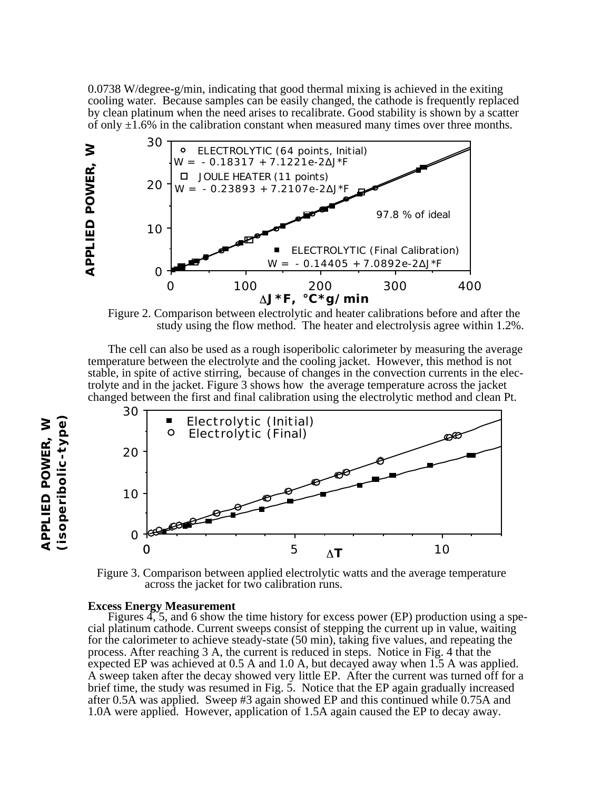0.0738 W/degree-g/min, indicating that good thermal mixing is achieved in the exiting cooling water. Because samples can be easily changed, the cathode is frequently replaced by clean platinum when the need arises to recalibrate. Good stability is shown by a scatter of only  $\pm 1.6\%$  in the calibration constant when measured many times over three months.



Figure 2. Comparison between electrolytic and heater calibrations before and after the study using the flow method. The heater and electrolysis agree within 1.2%.

The cell can also be used as a rough isoperibolic calorimeter by measuring the average temperature between the electrolyte and the cooling jacket. However, this method is not stable, in spite of active stirring, because of changes in the convection currents in the electrolyte and in the jacket. Figure 3 shows how the average temperature across the jacket changed between the first and final calibration using the electrolytic method and clean Pt.



 Figure 3. Comparison between applied electrolytic watts and the average temperature across the jacket for two calibration runs.

### **Excess Energy Measurement**

Figures  $4, 5$ , and 6 show the time history for excess power (EP) production using a special platinum cathode. Current sweeps consist of stepping the current up in value, waiting for the calorimeter to achieve steady-state (50 min), taking five values, and repeating the process. After reaching 3 A, the current is reduced in steps. Notice in Fig. 4 that the expected EP was achieved at 0.5 A and 1.0 A, but decayed away when 1.5 A was applied. A sweep taken after the decay showed very little EP. After the current was turned off for a brief time, the study was resumed in Fig. 5. Notice that the EP again gradually increased after 0.5A was applied. Sweep #3 again showed EP and this continued while 0.75A and 1.0A were applied. However, application of 1.5A again caused the EP to decay away.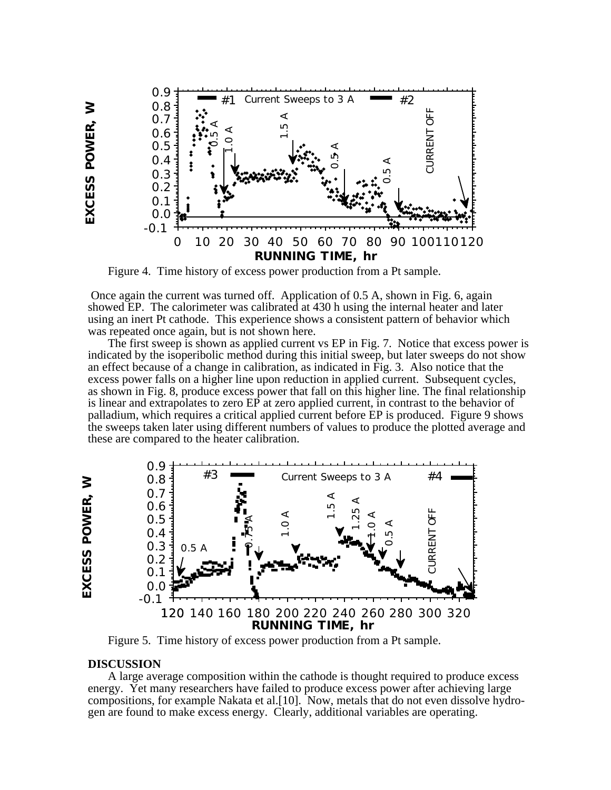

Figure 4. Time history of excess power production from a Pt sample.

 Once again the current was turned off. Application of 0.5 A, shown in Fig. 6, again showed EP. The calorimeter was calibrated at 430 h using the internal heater and later using an inert Pt cathode. This experience shows a consistent pattern of behavior which was repeated once again, but is not shown here.

The first sweep is shown as applied current vs EP in Fig. 7. Notice that excess power is indicated by the isoperibolic method during this initial sweep, but later sweeps do not show an effect because of a change in calibration, as indicated in Fig. 3. Also notice that the excess power falls on a higher line upon reduction in applied current. Subsequent cycles, as shown in Fig. 8, produce excess power that fall on this higher line. The final relationship is linear and extrapolates to zero EP at zero applied current, in contrast to the behavior of palladium, which requires a critical applied current before EP is produced. Figure 9 shows the sweeps taken later using different numbers of values to produce the plotted average and these are compared to the heater calibration.



Figure 5. Time history of excess power production from a Pt sample.

## **DISCUSSION**

EXCESS POWER, W

A large average composition within the cathode is thought required to produce excess energy. Yet many researchers have failed to produce excess power after achieving large compositions, for example Nakata et al.[10]. Now, metals that do not even dissolve hydrogen are found to make excess energy. Clearly, additional variables are operating.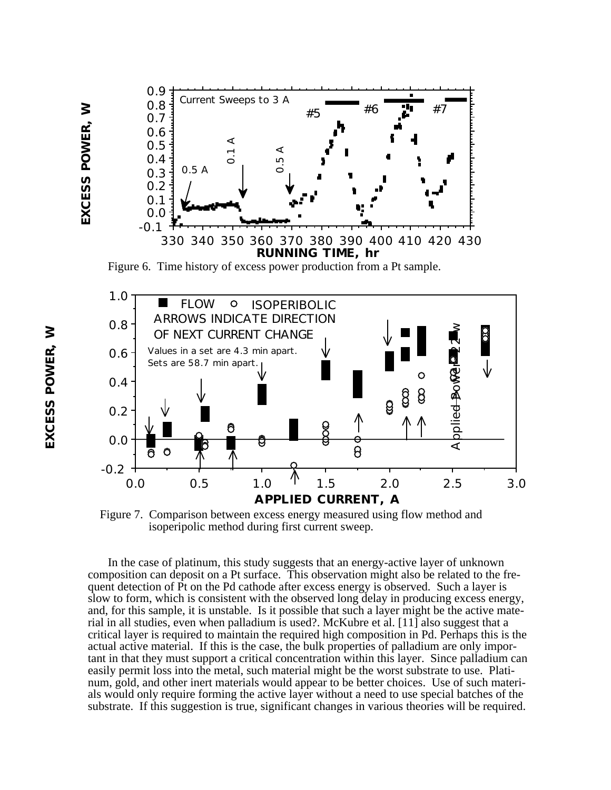



 Figure 7. Comparison between excess energy measured using flow method and isoperipolic method during first current sweep.

In the case of platinum, this study suggests that an energy-active layer of unknown composition can deposit on a Pt surface. This observation might also be related to the frequent detection of Pt on the Pd cathode after excess energy is observed. Such a layer is slow to form, which is consistent with the observed long delay in producing excess energy, and, for this sample, it is unstable. Is it possible that such a layer might be the active material in all studies, even when palladium is used?. McKubre et al. [11] also suggest that a critical layer is required to maintain the required high composition in Pd. Perhaps this is the actual active material. If this is the case, the bulk properties of palladium are only important in that they must support a critical concentration within this layer. Since palladium can easily permit loss into the metal, such material might be the worst substrate to use. Platinum, gold, and other inert materials would appear to be better choices. Use of such materials would only require forming the active layer without a need to use special batches of the substrate. If this suggestion is true, significant changes in various theories will be required.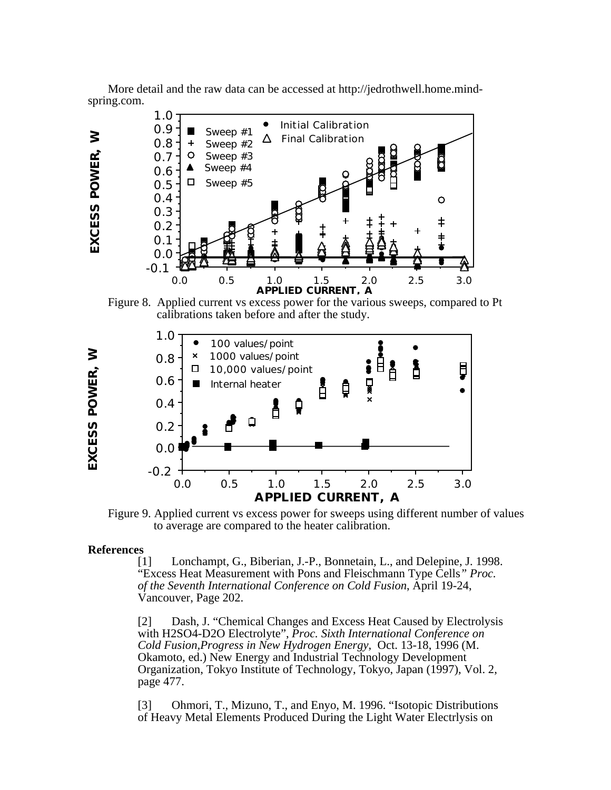

More detail and the raw data can be accessed at http://jedrothwell.home.mindspring.com.

Figure 8. Applied current vs excess power for the various sweeps, compared to Pt calibrations taken before and after the study.



Figure 9. Applied current vs excess power for sweeps using different number of values to average are compared to the heater calibration.

#### **References**

[1] Lonchampt, G., Biberian, J.-P., Bonnetain, L., and Delepine, J. 1998. "Excess Heat Measurement with Pons and Fleischmann Type Cells*" Proc. of the Seventh International Conference on Cold Fusion*, April 19-24, Vancouver, Page 202.

[2] Dash, J. "Chemical Changes and Excess Heat Caused by Electrolysis with H2SO4-D2O Electrolyte", *Proc. Sixth International Conference on Cold Fusion,Progress in New Hydrogen Energy*, Oct. 13-18, 1996 (M. Okamoto, ed.) New Energy and Industrial Technology Development Organization, Tokyo Institute of Technology, Tokyo, Japan (1997), Vol. 2, page 477.

[3] Ohmori, T., Mizuno, T., and Enyo, M. 1996. "Isotopic Distributions of Heavy Metal Elements Produced During the Light Water Electrlysis on